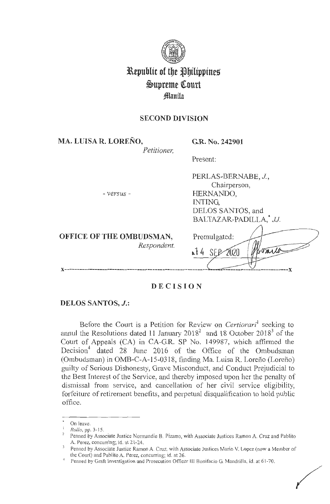

# **3L\epublic of tbe ~bilippineg**   $\mathfrak{S}$ upreme Court **fflanila**

# **SECOND DIVISION**

**MA. LUISA R. LORENO,** 

**G.R. No. 242901** 

HERNANDO,

INTING,

PERLAS-BERNABE, J., Chairperson,

DELOS SANTOS, and

*Petitioner,* 

Present:

- *versus* -

**OFFICE OF THE OMBUDSMAN,**  *Respondent.* 

| BALTAZAR-PADILLA,* JJ. |
|------------------------|
| Promulgated:<br>⊾≬     |
|                        |

# **DECISION**

# **DELOS SANTOS, J.:**

Before the Court is a Petition for Review on *Certiorari*<sup>1</sup> seeking to annul the Resolutions dated 11 January  $2018^2$  and 18 October  $2018^3$  of the Court of Appeals (CA) in CA-GR. SP No. 149987, which affirmed the Decision<sup>4</sup> dated 28 June 2016 of the Office of the Ombudsman (Ombudsman) in OMB-C-A-15-0318, finding Ma. Luisa R. Lorefio (Lorefio) guilty of Serious Dishonesty, Grave Misconduct, and Conduct Prejudicial to the Best Interest of the Service, and thereby imposed upon her the penalty of dismissal from service, and cancellation of her civil service eligibility, forfeiture of retirement benefits, and perpetual disqualification to hold public office.

On leave.

<sup>&</sup>lt;sup>1</sup> Rollo, pp. 3-15.

<sup>&</sup>lt;sup>2</sup> Penned by Associate Justice Normandie B. Pizarro, with Associate Justices Ramon A. Cruz and Pablito A. Perez, concurring; id. at  $21-24$ .

Penned by Associate Justice Ramon A. Cruz, with Associate Justices Mario V. Lopez (now a Member of the Court) and Pablito A. Perez, concurring; id. at 26.

Penned by Graft Investigation and Prosecution Officer III Bonifacio G. Mandrilla, id. at 61-70.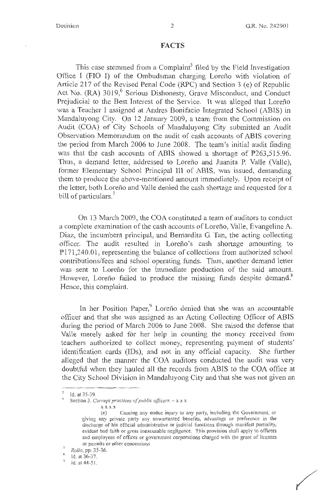#### **FACTS**

This case stemmed from a Complaint<sup>5</sup> filed by the Field Investigation Office I (FIO I) of the Ombudsman charging Lorefio with violation of Article 217 of the Revised Penal Code (RPC) and Section 3 (e) of Republic Act No. (RA) 3019,<sup>6</sup> Serious Dishonesty, Grave Misconduct, and Conduct Prejudicial to the Best Interest of the Service. It was alleged that Lorefio was a Teacher I assigned at Andres Bonifacio Integrated School (ABIS) in Mandaluyong City. On 12 January 2009, a team from the Commission on Audit (COA) of City Schools of Mandaluyong City submitted an Audit Observation Memorandum on the audit of cash accounts of ABIS covering the period from March 2006 to June 2008. The team's initial audit finding was that the cash accounts of ABIS showed a shortage of  $P263,515.96$ . Thus, a demand letter, addressed to Lorefio and Juanita P. Valle (Valle), former Elementary School Principal III of ABIS, was issued, demanding them to produce the above-mentioned amount immediately. Upon receipt of the letter, both Lorefio and Valle denied the cash shortage and requested for a bill of particulars.<sup>7</sup>

On 13 March 2009, the COA constituted a team of auditors to conduct a complete examination of the cash accounts of Lorefio, Valle, Evangeline A. Diaz, the incumbent principal, and Bernardita G. Tan, the acting collecting officer. The audit resulted in Lorefio's cash shortage amounting to Pl 71,240.01 , representing the balance of collections from authorized school contributions/fees and school operating funds. Thus, another demand letter was sent to Loreño for the immediate production of the said amount. However, Loreño failed to produce the missing funds despite demand.<sup>8</sup> Hence, this complaint.

In her Position Paper, $9$  Loreño denied that she was an accountable officer and that she was assigned as an Acting Collecting Officer of ABIS during the period of March 2006 to June 2008. She raised the defense that Valle merely asked for her help in counting the money received from teachers authorized to collect money, representing payment of students' identification cards (IDs), and not in any official capacity. She further alleged that the manner the COA auditors conducted the audit was very doubtful when they hauled all the records from ABIS to the COA office at the City School Division in Mandaluyong City and that she was not given an

<sup>&</sup>lt;sup>5</sup> Id. at 35-39.

<sup>6</sup>Section 3. *Corrupt practices of public officers.* - x x x

 $\mathbf{x} \mathbf{x} \mathbf{x} \mathbf{x}$ 

<sup>(</sup>e) Causing any undue injury to any party, including the Government, or giving any private party any unwarranted benefits, advantage or preference in the discharge of his official administrative or judicial functions through manifest partiality, evident bad faith or gross inexcusable negligence. This provision shall apply to officers and employees of offices or government corporations charged with the grant of licenses or permits or other concessions.

<sup>7</sup>*Rollo,* pp. 35-36.

 $^{8}$  Id. at 36-37.

<sup>9</sup> Id. at 44-5 1.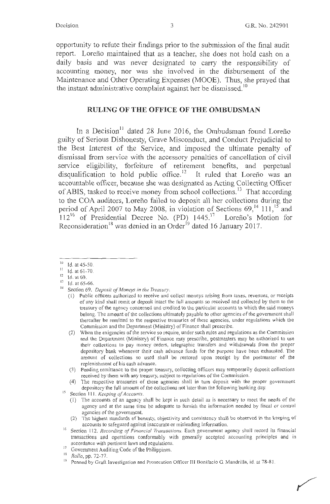opportunity to refute their findings prior to the submission of the final audit report. Loreño maintained that as a teacher, she does not hold cash on a daily basis and was never designated to carry the responsibility of accounting money, nor was she involved in the disbursement of the Maintenance and Other Operating Expenses (MOOE). Thus, she prayed that the instant administrative complaint against her be dismissed.<sup>10</sup>

## **RULING OF THE OFFICE OF THE OMBUDSMAN**

In a Decision<sup>11</sup> dated 28 June 2016, the Ombudsman found Loreño guilty of Serious Dishonesty, Grave Misconduct, and Conduct Prejudicial to the Best Interest of the Service, and imposed the ultimate penalty of dismissal from service with the accessory penalties of cancellation of civil service eligibility, forfeiture of retirement benefits, and perpetual disqualification to hold public office.<sup>12</sup> It ruled that Loreño was an accountable officer, because she was designated as Acting Collecting Officer of ABIS, tasked to receive money from school collections.<sup>13</sup> That according to the COA auditors, Lorefio failed to deposit all her collections during the period of April 2007 to May 2008, in violation of Sections 69,<sup>14</sup> 111,<sup>15</sup> and  $112^{16}$  of Presidential Decree No. (PD) 1445.<sup>17</sup> Loreño's Motion for Reconsideration<sup>18</sup> was denied in an Order<sup>19</sup> dated 16 January 2017.

- (3) Pending remittance to the proper treasury, collecting officers may temporarily deposit collections received by them with any treasury, subject to regulations of the Commission.
- (4) The respective treasuries of these agencies shall in turn deposit with the proper government depository the full amount of the collections not later than the following banking day.

(1) The accounts of an agency shall be kept in such detail as is necessary to meet the needs of the agency and at the same time be adequate to furnish the information needed by fiscal or control agencies of the government.

 $10$  Id. at 45-50.

<sup>&</sup>lt;sup>11</sup> Id. at 61-70.

 $\frac{12}{13}$  Id. at 69.

 $13$  Id. at 65-66.

Section 69. *Deposit of Moneys in the Treasury*.

<sup>(</sup>I) Public officers authorized to receive and collect moneys arising from taxes, revenues, or receipts of any kind shall remit or deposit intact the full amounts so received and collected by them to the treasury of the agency concerned and credited to the particular accounts to which the said moneys belong. The amount of the collections ultimately payable to other agencies of the government shall thereafter be remitted to the respective treasuries of these agencies, under regulations which the Commission and the Department (Ministry) of Finance shall prescribe.

<sup>(2)</sup> When the exigencies of the service so require, under such rules and regulations as the Commission and the Department (Ministry) of Finance may prescribe, postmasters may be authorized to use their collections to pay money orders, telegraphic transfers and withdrawals from the proper depository bank whenever their cash advance funds for the purpose have been exhausted. The amount of collections so used shall be restored upon receipt by the postmaster of the replenishment of his cash advance.

<sup>&</sup>lt;sup>15</sup> Section 111. *Keeping of Accounts*.

<sup>(2)</sup> The highest standards of honesty, objectivity and consistency shall be observed in the keeping of accounts to safeguard against inaccurate or misleading information.

<sup>&</sup>lt;sup>16</sup> Section 112. *Recording of Financial Transactions*. Each government agency shall record its financial transactions and operations conformably with generally accepted accounting principles and in accordance with pertinent laws and regulations.

<sup>17</sup>Government Auditing Code of the Philippines. <sup>18</sup>*Rollo,* pp. 72-77.

<sup>&</sup>lt;sup>19</sup> Penned by Graft Investigation and Prosecution Officer III Bonifacio G. Mandrilla, id. at 78-81.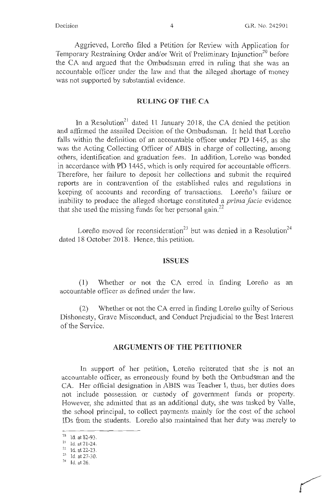Aggrieved, Lorefio filed a Petition for Review with Application for Temporary Restraining Order and/or Writ of Preliminary Injunction<sup>20</sup> before the CA and argued that the Ombudsman erred in ruling that she was an accountable officer under the law and that the alleged shortage of money was not supported by substantial evidence.

#### **RULING OF THE CA**

In a Resolution<sup>21</sup> dated 11 January 2018, the CA denied the petition and affirmed the assailed Decision of the Ombudsman. It held that Lorefio falls within the definition of an accountable officer under PD 1445, as she was the Acting Collecting Officer of ABIS in charge of collecting, among others, identification and graduation fees. In addition, Lorefio was bonded in accordance with PD 1445, which is only required for accountable officers. Therefore, her failure to deposit her collections and submit the required reports are in contravention of the established rules and regulations in keeping of accounts and recording of transactions. Loreño's failure or inability to produce the alleged shortage constituted a *prima facie* evidence that she used the missing funds for her personal gain.<sup>22</sup>

Lorefio moved for reconsideration<sup>23</sup> but was denied in a Resolution<sup>24</sup> dated 18 October 2018. Hence, this petition.

#### **ISSUES**

(1) Whether or not the CA erred in finding Loreño as an accountable officer as defined under the law.

(2) Whether or not the CA erred in finding Lorefio guilty of Serious Dishonesty, Grave Misconduct, and Conduct Prejudicial to the Best Interest of the Service.

## **ARGUMENTS OF THE PETITIONER**

In support of her petition, Loreño reiterated that she is not an accountable officer, as erroneously found by both the Ombudsman and the CA. Her official designation in ABIS was Teacher I, thus, her duties does not include possession or custody of government funds or property. However, she admitted that as an additional duty, she was tasked by Valle, the school principal, to collect payments mainly for the cost of the school IDs from the students. Lorefio also maintained that her duty was merely to

 $\frac{20}{21}$  Id. at 82-93.<br>
1d. at 21-24.

 $\frac{22}{23}$  Id. at 22-23.<br>
Id. at 27-30.

 $24$  Id. at 26.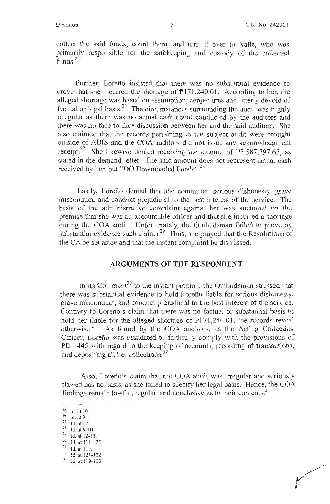collect the said funds, count them, and turn it over to Valle, who was primarily responsible for the safekeeping and custody of the collected funds<sup>25</sup>

Further, Lorefio insisted that there was no substantial evidence to prove that she incurred the shortage of  $P171,240.01$ . According to her, the alleged shortage was based on assumption, conjectures and utterly devoid of factual or legal basis.<sup>26</sup> The circumstances surrounding the audit was highly irregular as there was no actual cash count conducted by the auditors and there was no face-to-face discussion between her and the said auditors. She also claimed that the records pertaining to the subject audit were brought outside of ABIS and the COA auditors did not issue any acknowledgment receipt.<sup>27</sup> She likewise denied receiving the amount of  $\overline{P5,587,297.65}$ , as stated in the demand letter. The said amount does not represent actual cash received by her, but "DO Downloaded Funds".<sup>28</sup>

Lastly, Lorefio denied that she committed serious dishonesty, grave misconduct, and conduct prejudicial to the best interest of the service. The basis of the administrative complaint against her was anchored on the premise that she was an accountable officer and that she incurred a shortage during the COA audit. Unfortunately, the Ombudsman failed to prove by substantial evidence such claims.<sup>29</sup> Thus, she prayed that the Resolutions of the CA be set aside and that the instant complaint be dismissed.

## **ARGUMENTS OF THE RESPONDENT**

In its Comment<sup>30</sup> to the instant petition, the Ombudsman stressed that there was substantial evidence to hold Lorefio liable for serious dishonesty, grave misconduct, and conduct prejudicial to the best interest of the service. Contrary to Lorefio's claim that there was no factual or substantial basis to hold her liable for the alleged shortage of  $P171,240.01$ , the records reveal otherwise.<sup>31</sup> As found by the COA auditors, as the Acting Collecting Officer, Lorefio was mandated to faithfully comply with the provisions of PD 1445 with regard to the keeping of accounts, recording of transactions, and depositing all her collections.<sup>32</sup>

Also, Loreno's claim that the COA audit was irregular and seriously flawed has no basis, as she failed to specify her legal basis. Hence, the COA findings remain lawful, regular, and conclusive as to their contents.<sup>33</sup>

 $\frac{25}{26}$  Id. at 10-11.<br>  $\frac{26}{27}$  Id. at 12.

<sup>&</sup>lt;sup>28</sup> Id. at 9-10.<br><sup>29</sup> Id. at 12-13.<br><sup>30</sup> Id. at 111-125.<br><sup>31</sup> Id. at 119.

 $\frac{32}{33}$  Id. at 121-122.<br> $\frac{33}{10}$  Id. at 119-120.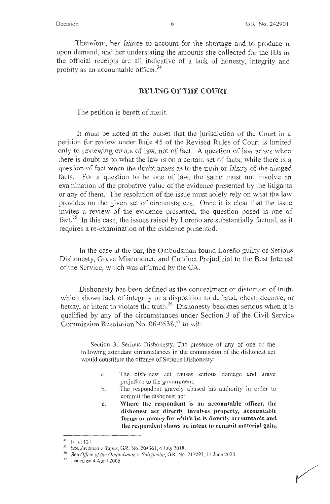Therefore, her failure to account for the shortage and to produce it upon demand, and her understating the amounts she collected for the IDs in the official receipts are all indicative of a lack of honesty, integrity and probity as an accountable officer.<sup>34</sup>

#### **RULING OF THE COURT**

The petition is bereft of merit.

It must be noted at the outset that the jurisdiction of the Court in a petition for review under Rule 45 of the Revised Rules of Court is limited only to reviewing errors of law, not of fact. A question of law arises when there is doubt as to what the law is on a certain set of facts, while there is a question of fact when the doubt arises as to the truth or falsity of the alleged facts. For a question to be one of law, the same must not involve an examination of the probative value of the evidence presented by the litigants or any of them. The resolution of the issue must solely rely on what the law provides on the given set of circumstances. Once it is clear that the issue invites a review of the evidence presented, the question posed is one of fact.<sup>35</sup> In this case, the issues raised by Loreño are substantially factual, as it requires a re-examination of the evidence presented.

In the case at the bar, the Ombudsman found Lorefio guilty of Serious Dishonesty, Grave Misconduct, and Conduct Prejudicial to the Best Interest of the Service, which was affirmed by the CA.

Dishonesty has been defined as the concealment or distortion of truth, which shows lack of integrity or a disposition to defraud, cheat, deceive, or betray, or intent to violate the truth.<sup>36</sup> Dishonesty becomes serious when it is qualified by any of the circumstances under Section 3 of the Civil Service Commission Resolution No. 06-0538, $37$  to wit:

Section 3. Serious Dishonesty. The presence of any of one of the following attendant circumstances in the commission of the dishonest act would constitute the offense of Serious Dishonesty:

- a. The dishonest act causes serious damage and grave prejudice to the government.
- b. The respondent gravely abused his authority in order to commit the dishonest act.
- **c. Where the respondent is an accountable officer, the dishonest act directly involves property, accountable forms or money for which he is directly accountable and the respondent shows an intent to commit material gain,**

<sup>&</sup>lt;sup>34</sup> Id. at 121.<br><sup>35</sup> See *Javelosa v. Tapus*, G.R. No. 204361, 4 July 2018.

<sup>&</sup>lt;sup>36</sup> See *Office of the Ombudsman v. Saligumba*, G.R. No. 212293, 15 June 2020. Issued on 4 April 2006.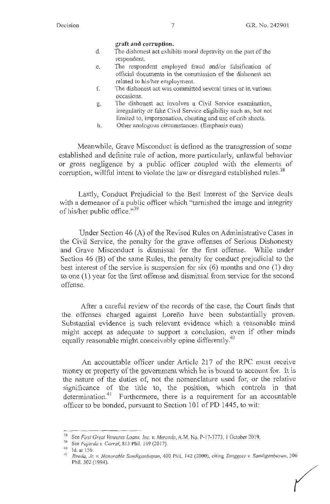#### **graft and corruption.**

- d. The dishonest act exhibits moral depravity on the part of the respondent.
- e. The respondent employed fraud and/or falsification of official documents in the conunission of the dishonest act related to his/her employment.
- f. The dishonest act was committed several times or in various occasions.
- g. The dishonest act involves a Civil Service examination, irregularity or fake Civil Service eligibility such as, but not limited to, impersonation, cheating and use of crib sheets.
- h. Other analogous circumstances. (Emphasis ours)

Meanwhile, Grave Misconduct is defined as the transgression of some established and definite rule of action, more particularly, unlawful behavior or gross negligence by a public officer coupled with the elements of corruption, willful intent to violate the law or disregard established rules.<sup>38</sup>

Lastly, Conduct Prejudicial to the Best Interest of the Service deals with a demeanor of a public officer which "tarnished the image and integrity of his/her public office."<sup>39</sup>

Under Section 46 (A) of the Revised Rules on Administrative Cases in the Civil Service, the penalty for the grave offenses of Serious Dishonesty and Grave Misconduct is dismissal for the first offense. While under Section 46 (B) of the same Rules, the penalty for conduct prejudicial to the best interest of the service is suspension for six  $(6)$  months and one  $(1)$  day to one (1) year for the first offense and dismissal from service for the second offense.

After a careful review of the records of the case, the Court finds that the offenses charged against Loreño have been substantially proven. Substantial evidence is such relevant evidence which a reasonable mind might accept as adequate to support a conclusion, even if other minds equally reasonable might conceivably opine differently.<sup>40</sup>

An accountable officer under Article 217 of the RPC must receive money or property of the government which he is bound to account for. It is the nature of the duties of, not the nomenclature used for, or the relative significance of the title to, the position, which controls in that determination.<sup>41</sup> Furthermore, there is a requirement for an accountable officer to be bonded, pursuant to Section 101 of PD 1445, to wit:

<sup>&</sup>lt;sup>38</sup> See *First Great Ventures Loans, Inc. v. Mercado*, A.M. No. P-17-3773, 1 October 2019.<br><sup>39</sup> See *Fajardo v. Corral*, 813 Phil. 149 (2017).

<sup>40</sup> Id. at 156.

<sup>4</sup> <sup>1</sup>*Rueda, Jr. v. Honorable Sancliganbayan,* 400 Phil. 142 (2000), citing *Tanggote v. Sancliganbayan,* 306 Phil. 302 ( 1994). *(*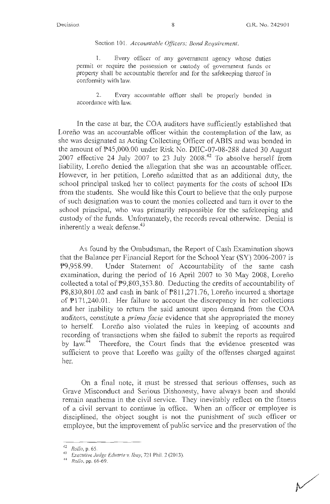Section 101. *Accountable Officers; Bond Requirement.* 

1. Every officer of any government agency whose duties permit or require the possession or custody of govermnent funds or property shall be accountable therefor and for the safekeeping thereof in conformity with law.

2. Every accountable officer shall be properly bonded in accordance with law.

In the case at bar, the COA auditors have sufficiently established that Loreño was an accountable officer within the contemplation of the law, as she was designated as Acting Collecting Officer of ABIS and was bonded in the amount of P45,000.00 under Risk No. DIIC-07-08-288 dated 30 August 2007 effective 24 July 2007 to 23 July 2008.<sup>42</sup> To absolve herself from liability, Lorefio denied the allegation that she was an accountable officer. However, in her petition, Lorefio admitted that as an additional duty, the school principal tasked her to collect payments for the costs of school IDs from the students. She would like this Court to believe that the only purpose of such designation was to count the monies collected and turn it over to the school principal, who was primarily responsible for the safekeeping and custody of the funds. Unfortunately, the records reveal otherwise. Denial is inherently a weak defense. $43$ 

As found by the Ombudsman, the Report of Cash Examination shows that the Balance per Financial Rep01t for the School Year **(SY)** 2006-2007 is P9,958.99. Under Statement of Accountability of the same cash examination, during the period of 16 April 2007 to 30 May 2008, Lorefio collected a total of P9,803,353.80. Deducting the credits of accountability of  $P8,830,801.02$  and cash in bank of  $P811,271.76$ , Loreno incurred a shortage of  $P171,240.01$ . Her failure to account the discrepancy in her collections and her inability to return the said amount upon demand from the COA auditors, constitute a *prima facie* evidence that she appropriated the money to herself. Lorefio also violated the rules in keeping of accounts and recording of transactions when she failed to submit the reports as required by law.<sup>44</sup> Therefore, the Court finds that the evidence presented was sufficient to prove that Loreño was guilty of the offenses charged against her.

On a final note, it must be stressed that serious offenses, such as Grave Misconduct and Serious Dishonesty, have always been and should remain anathema in the civil service. They inevitably reflect on the fitness of a civil servant to continue in office. When an officer or employee is disciplined, the object sought is not the punishment of such officer or employee, but the improvement of public service and the preservation of the

<sup>42</sup>*Rollo,* p. 65. 43 *Executive Judge Eduarte v. !bay,* <sup>72</sup> 1 Phil.2(2013).

<sup>44</sup>*Rollo,* pp. 66-69.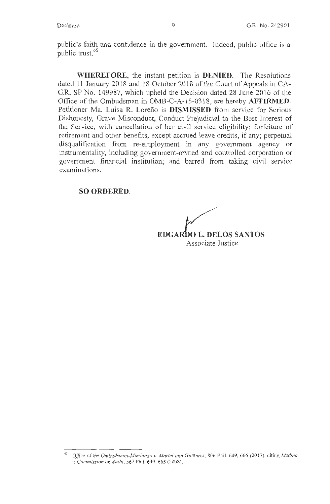public's faith and confidence in the government. Indeed, public office is a public trust.<sup>45</sup>

**WHEREFORE,** the instant petition is **DENIED.** The Resolutions dated 11 January 2018 and 18 October 2018 of the Court of Appeals in CA-G.R. SP No. 149987, which upheld the Decision dated 28 June 2016 of the Office of the Ombudsman in OMB-C-A-1 5-0318, are hereby **AFFIRMED.**  Petitioner Ma. Luisa R. Lorefio is **DISMISSED** from service for Serious Dishonesty, Grave Misconduct, Conduct Prejudicial to the Best Interest of the Service, with cancellation of her civil service eligibility; forfeiture of retirement and other benefits, except accrued leave credits, if any; perpetual disqualification from re-employment in any government agency or instrumentality, including government-owned and controlled corporation or government financial institution; and barred from taking civil service examinations.

**SO ORDERED.** 

 $\sim$ **EDGARtO L. DELOS SANTOS** 

Associate Justice

<sup>45</sup>*Office of the Ombudsman-Mindanao v. Martel and GuiPiares,* 806 Phil. 649, 666(2017), citing *Medina v. Commission on Audit,* 567 Phil. 649, 665 (2008).